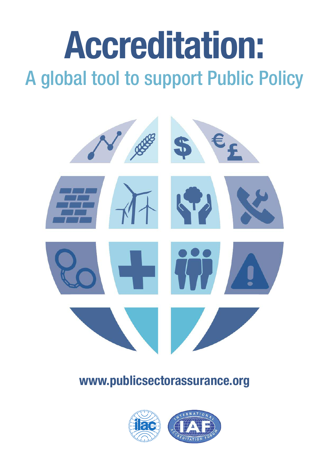# **Accreditation:** A global tool to support Public Policy



# **www.publicsectorassurance.org**

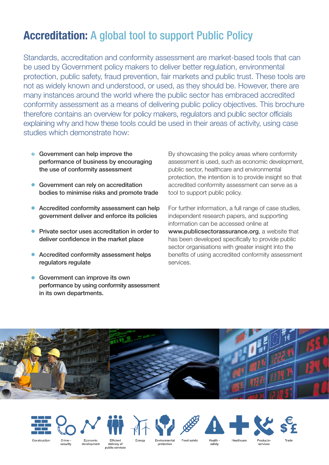## **Accreditation:** A global tool to support Public Policy

Standards, accreditation and conformity assessment are market-based tools that can be used by Government policy makers to deliver better regulation, environmental protection, public safety, fraud prevention, fair markets and public trust. These tools are not as widely known and understood, or used, as they should be. However, there are many instances around the world where the public sector has embraced accredited conformity assessment as a means of delivering public policy objectives. This brochure therefore contains an overview for policy makers, regulators and public sector officials explaining why and how these tools could be used in their areas of activity, using case studies which demonstrate how:

- **•** Government can help improve the performance of business by encouraging the use of conformity assessment
- **Government can rely on accreditation** bodies to minimise risks and promote trade
- Accredited conformity assessment can help government deliver and enforce its policies
- **•** Private sector uses accreditation in order to deliver confidence in the market place
- **•** Accredited conformity assessment helps regulators regulate
- **C** Government can improve its own performance by using conformity assessment in its own departments.

By showcasing the policy areas where conformity assessment is used, such as economic development, public sector, healthcare and environmental protection, the intention is to provide insight so that accredited conformity assessment can serve as a tool to support public policy.

For further information, a full range of case studies, independent research papers, and supporting information can be accessed online at www.publicsectorassurance.org, a website that has been developed specifically to provide public sector organisations with greater insight into the benefits of using accredited conformity assessment services.







Economic development delivery of public services

Eneray

Environmenta protection

Food safety

safety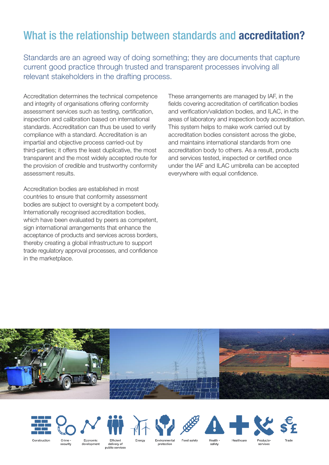## What is the relationship between standards and **accreditation?**

Standards are an agreed way of doing something; they are documents that capture current good practice through trusted and transparent processes involving all relevant stakeholders in the drafting process.

Accreditation determines the technical competence and integrity of organisations offering conformity assessment services such as testing, certification, inspection and calibration based on international standards. Accreditation can thus be used to verify compliance with a standard. Accreditation is an impartial and objective process carried-out by third-parties; it offers the least duplicative, the most transparent and the most widely accepted route for the provision of credible and trustworthy conformity assessment results.

Accreditation bodies are established in most countries to ensure that conformity assessment bodies are subject to oversight by a competent body. Internationally recognised accreditation bodies, which have been evaluated by peers as competent, sign international arrangements that enhance the acceptance of products and services across borders, thereby creating a global infrastructure to support trade regulatory approval processes, and confidence in the marketplace.

These arrangements are managed by IAF, in the fields covering accreditation of certification bodies and verification/validation bodies, and ILAC, in the areas of laboratory and inspection body accreditation. This system helps to make work carried out by accreditation bodies consistent across the globe, and maintains international standards from one accreditation body to others. As a result, products and services tested, inspected or certified once under the IAF and ILAC umbrella can be accepted everywhere with equal confidence.







Economic development delivery of public services

Eneray

Environmenta protection

safety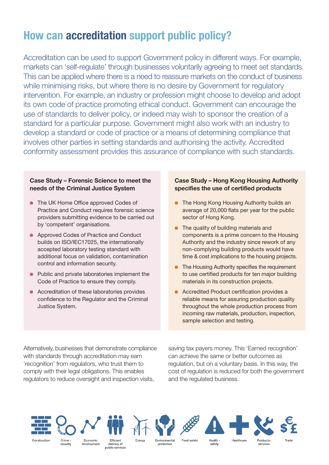## **How can accreditation support public policy?**

Accreditation can be used to support Government policy in different ways. For example, markets can 'self-regulate' through businesses voluntarily agreeing to meet set standards. This can be applied where there is a need to reassure markets on the conduct of business while minimising risks, but where there is no desire by Government for regulatory intervention. For example, an industry or profession might choose to develop and adopt its own code of practice promoting ethical conduct. Government can encourage the use of standards to deliver policy, or indeed may wish to sponsor the creation of a standard for a particular purpose. Government might also work with an industry to develop a standard or code of practice or a means of determining compliance that involves other parties in setting standards and authorising the activity. Accredited conformity assessment provides this assurance of compliance with such standards.

#### **Case Study – Forensic Science to meet the needs of the Criminal Justice System**

- **The UK Home Office approved Codes of** Practice and Conduct requires forensic science providers submitting evidence to be carried out by 'competent' organisations.
- **Approved Codes of Practice and Conduct** builds on ISO/IEC17025, the internationally accepted laboratory testing standard with additional focus on validation, contamination control and information security.
- Public and private laboratories implement the Code of Practice to ensure they comply.
- **Accreditation of these laboratories provides** confidence to the Regulator and the Criminal Justice System.

#### **Case Study – Hong Kong Housing Authority specifies the use of certified products**

- The Hong Kong Housing Authority builds an average of 20,000 flats per year for the public sector of Hong Kong.
- $\bullet$  The quality of building materials and components is a prime concern to the Housing Authority and the industry since rework of any non-complying building products would have time & cost implications to the housing projects.
- **•** The Housing Authority specifies the requirement to use certified products for ten major building materials in its construction projects.
- **.** Accredited Product certification provides a reliable means for assuring production quality throughout the whole production process from incoming raw materials, production, inspection, sample selection and testing.

Alternatively, businesses that demonstrate compliance with standards through accreditation may earn 'recognition' from regulators, who trust them to comply with their legal obligations. This enables regulators to reduce oversight and inspection visits,

saving tax payers money. This 'Earned recognition' can achieve the same or better outcomes as regulation, but on a voluntary basis. In this way, the cost of regulation is reduced for both the government and the regulated business.





security

Economic development

delivery of public services

Eneray

Environmental protection

safety

Food safety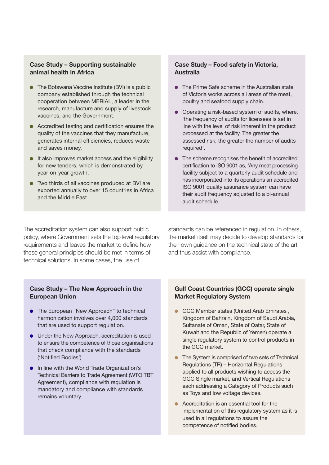#### **Case Study – Supporting sustainable animal health in Africa**

- $\bullet$  The Botswana Vaccine Institute (BVI) is a public company established through the technical cooperation between MERIAL, a leader in the research, manufacture and supply of livestock vaccines, and the Government.
- $\bullet$  Accredited testing and certification ensures the quality of the vaccines that they manufacture, generates internal efficiencies, reduces waste and saves money.
- $\bullet$  It also improves market access and the eligibility for new tenders, which is demonstrated by year-on-year growth.
- $\bullet$  Two thirds of all vaccines produced at BVI are exported annually to over 15 countries in Africa and the Middle East.

#### **Case Study – Food safety in Victoria, Australia**

- The Prime Safe scheme in the Australian state of Victoria works across all areas of the meat, poultry and seafood supply chain.
- $\bullet$  Operating a risk-based system of audits, where, 'the frequency of audits for licensees is set in line with the level of risk inherent in the product processed at the facility. The greater the assessed risk, the greater the number of audits required'.
- $\bullet$  The scheme recognises the benefit of accredited certification to ISO 9001 as, 'Any meat processing facility subject to a quarterly audit schedule and has incorporated into its operations an accredited ISO 9001 quality assurance system can have their audit frequency adjusted to a bi-annual audit schedule.

The accreditation system can also support public policy, where Government sets the top level regulatory requirements and leaves the market to define how these general principles should be met in terms of technical solutions. In some cases, the use of

standards can be referenced in regulation. In others, the market itself may decide to develop standards for their own guidance on the technical state of the art and thus assist with compliance.

#### **Case Study – The New Approach in the European Union**

- **•** The European "New Approach" to technical harmonization involves over 4,000 standards that are used to support regulation.
- $\bullet$  Under the New Approach, accreditation is used to ensure the competence of those organisations that check compliance with the standards ('Notified Bodies').
- **.** In line with the World Trade Organization's Technical Barriers to Trade Agreement (WTO TBT Agreement), compliance with regulation is mandatory and compliance with standards remains voluntary.

#### **Gulf Coast Countries (GCC) operate single Market Regulatory System**

- **c** GCC Member states (United Arab Emirates, Kingdom of Bahrain, Kingdom of Saudi Arabia, Sultanate of Oman, State of Qatar, State of Kuwait and the Republic of Yemen) operate a single regulatory system to control products in the GCC market.
- The System is comprised of two sets of Technical Regulations (TR) – Horizontal Regulations applied to all products wishing to access the GCC Single market, and Vertical Regulations each addressing a Category of Products such as Toys and low voltage devices.
- Accreditation is an essential tool for the implementation of this regulatory system as it is used in all regulations to assure the competence of notified bodies.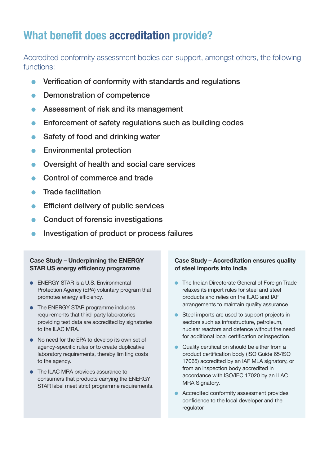## **What benefit does accreditation provide?**

Accredited conformity assessment bodies can support, amongst others, the following functions:

- $\bullet$  Verification of conformity with standards and regulations
- Demonstration of competence
- **Assessment of risk and its management**
- $\bullet$  Enforcement of safety regulations such as building codes
- $\bullet$  Safety of food and drinking water
- **•** Environmental protection
- **•** Oversight of health and social care services
- Control of commerce and trade
- **Trade facilitation**
- $\bullet$  Efficient delivery of public services
- Conduct of forensic investigations
- **Investigation of product or process failures**

#### **Case Study – Underpinning the ENERGY STAR US energy efficiency programme**

- **ENERGY STAR is a U.S. Environmental** Protection Agency (EPA) voluntary program that promotes energy efficiency.
- The ENERGY STAR programme includes requirements that third-party laboratories providing test data are accredited by signatories to the ILAC MRA.
- $\bullet$  No need for the EPA to develop its own set of agency-specific rules or to create duplicative laboratory requirements, thereby limiting costs to the agency.
- The ILAC MRA provides assurance to consumers that products carrying the ENERGY STAR label meet strict programme requirements.

#### **Case Study – Accreditation ensures quality of steel imports into India**

- **The Indian Directorate General of Foreign Trade** relaxes its import rules for steel and steel products and relies on the ILAC and IAF arrangements to maintain quality assurance.
- **C** Steel imports are used to support projects in sectors such as infrastructure, petroleum, nuclear reactors and defence without the need for additional local certification or inspection.
- Quality certification should be either from a product certification body (ISO Guide 65/ISO 17065) accredited by an IAF MLA signatory, or from an inspection body accredited in accordance with ISO/IEC 17020 by an ILAC MRA Signatory.
- **Accredited conformity assessment provides** confidence to the local developer and the regulator.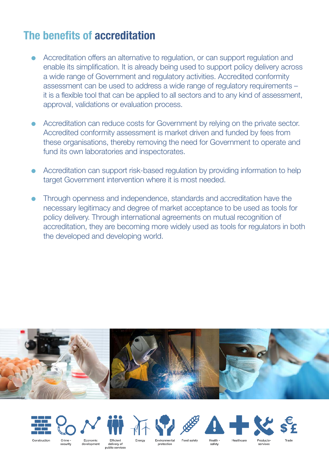## **The benefits of accreditation**

- l Accreditation offers an alternative to regulation, or can support regulation and enable its simplification. It is already being used to support policy delivery across a wide range of Government and regulatory activities. Accredited conformity assessment can be used to address a wide range of regulatory requirements – it is a flexible tool that can be applied to all sectors and to any kind of assessment, approval, validations or evaluation process.
- Accreditation can reduce costs for Government by relying on the private sector. Accredited conformity assessment is market driven and funded by fees from these organisations, thereby removing the need for Government to operate and fund its own laboratories and inspectorates.
- Accreditation can support risk-based regulation by providing information to help target Government intervention where it is most needed.
- l Through openness and independence, standards and accreditation have the necessary legitimacy and degree of market acceptance to be used as tools for policy delivery. Through international agreements on mutual recognition of accreditation, they are becoming more widely used as tools for regulators in both the developed and developing world.







security



delivery of public services Enerav

Environmental protection

Food safety

safety